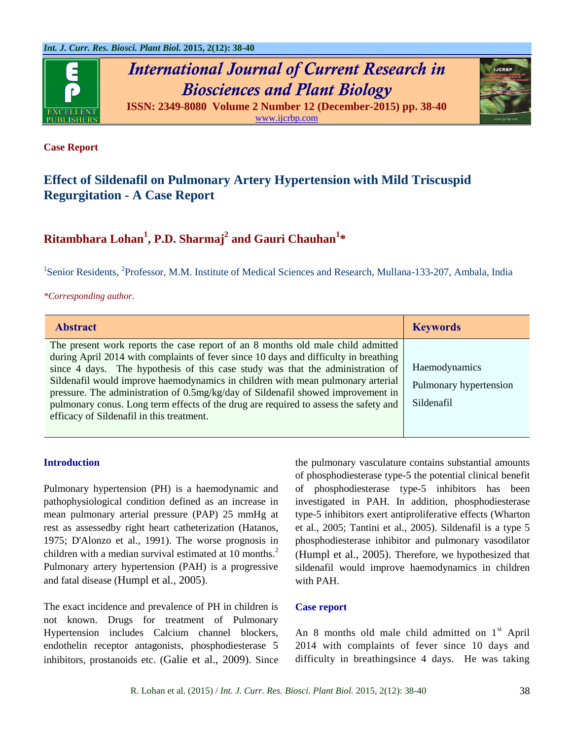



#### **Case Report**

# **Effect of Sildenafil on Pulmonary Artery Hypertension with Mild Triscuspid Regurgitation - A Case Report**

# **Ritambhara Lohan<sup>1</sup> , P.D. Sharmaj<sup>2</sup> and Gauri Chauhan<sup>1</sup> \***

<sup>1</sup>Senior Residents, <sup>2</sup>Professor, M.M. Institute of Medical Sciences and Research, Mullana-133-207, Ambala, India

#### *\*Corresponding author.*

| <b>Abstract</b>                                                                                                                                                                                                                                                                                                                                                                                                                  | <b>Keywords</b>                         |
|----------------------------------------------------------------------------------------------------------------------------------------------------------------------------------------------------------------------------------------------------------------------------------------------------------------------------------------------------------------------------------------------------------------------------------|-----------------------------------------|
| The present work reports the case report of an 8 months old male child admitted<br>during April 2014 with complaints of fever since 10 days and difficulty in breathing<br>since 4 days. The hypothesis of this case study was that the administration of<br>Sildenafil would improve haemodynamics in children with mean pulmonary arterial<br>pressure. The administration of 0.5mg/kg/day of Sildenafil showed improvement in | Haemodynamics<br>Pulmonary hypertension |
| pulmonary conus. Long term effects of the drug are required to assess the safety and<br>efficacy of Sildenafil in this treatment.                                                                                                                                                                                                                                                                                                | Sildenafil                              |

### **Introduction**

Pulmonary hypertension (PH) is a haemodynamic and pathophysiological condition defined as an increase in mean pulmonary arterial pressure (PAP) 25 mmHg at rest as assessedby right heart catheterization (Hatanos, 1975; D'Alonzo et al., 1991). The worse prognosis in children with a median survival estimated at  $10$  months.<sup>2</sup> Pulmonary artery hypertension (PAH) is a progressive and fatal disease (Humpl et al., 2005).

The exact incidence and prevalence of PH in children is not known. Drugs for treatment of Pulmonary Hypertension includes Calcium channel blockers, endothelin receptor antagonists, phosphodiesterase 5 inhibitors, prostanoids etc. (Galie et al., 2009). Since the pulmonary vasculature contains substantial amounts of phosphodiesterase type-5 the potential clinical benefit of phosphodiesterase type-5 inhibitors has been investigated in PAH. In addition, phosphodiesterase type-5 inhibitors exert antiproliferative effects (Wharton et al., 2005; Tantini et al., 2005). Sildenafil is a type 5 phosphodiesterase inhibitor and pulmonary vasodilator (Humpl et al., 2005). Therefore, we hypothesized that sildenafil would improve haemodynamics in children with PAH.

#### **Case report**

An 8 months old male child admitted on  $1<sup>st</sup>$  April 2014 with complaints of fever since 10 days and difficulty in breathingsince 4 days. He was taking

R. Lohan et al. (2015) / *Int. J. Curr. Res. Biosci. Plant Biol.* 2015, 2(12): 38-40 38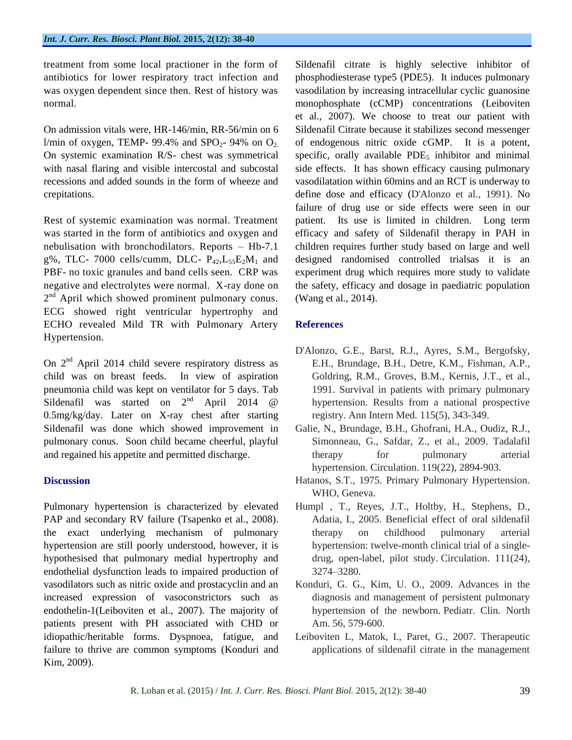treatment from some local practioner in the form of antibiotics for lower respiratory tract infection and was oxygen dependent since then. Rest of history was normal.

On admission vitals were, HR-146/min, RR-56/min on 6 l/min of oxygen, TEMP- 99.4% and  $SPO<sub>2</sub>$ - 94% on  $O<sub>2</sub>$ . On systemic examination R/S- chest was symmetrical with nasal flaring and visible intercostal and subcostal recessions and added sounds in the form of wheeze and crepitations.

Rest of systemic examination was normal. Treatment was started in the form of antibiotics and oxygen and nebulisation with bronchodilators. Reports – Hb-7.1 g%, TLC- 7000 cells/cumm, DLC-  $P_{42}$ , $L_{55}E_2M_1$  and PBF- no toxic granules and band cells seen. CRP was negative and electrolytes were normal. X-ray done on 2<sup>nd</sup> April which showed prominent pulmonary conus. ECG showed right ventricular hypertrophy and ECHO revealed Mild TR with Pulmonary Artery Hypertension.

On  $2<sup>nd</sup>$  April 2014 child severe respiratory distress as child was on breast feeds. In view of aspiration pneumonia child was kept on ventilator for 5 days. Tab Sildenafil was started on 2<sup>nd</sup> April 2014 @ 0.5mg/kg/day. Later on X-ray chest after starting Sildenafil was done which showed improvement in pulmonary conus. Soon child became cheerful, playful and regained his appetite and permitted discharge.

### **Discussion**

Pulmonary hypertension is characterized by elevated PAP and secondary RV failure (Tsapenko et al., 2008). the exact underlying mechanism of pulmonary hypertension are still poorly understood, however, it is hypothesised that pulmonary medial hypertrophy and endothelial dysfunction leads to impaired production of vasodilators such as nitric oxide and prostacyclin and an increased expression of vasoconstrictors such as endothelin-1(Leiboviten et al., 2007). The majority of patients present with PH associated with CHD or idiopathic/heritable forms. Dyspnoea, fatigue, and failure to thrive are common symptoms (Konduri and Kim, 2009).

Sildenafil citrate is highly selective inhibitor of phosphodiesterase type5 (PDE5). It induces pulmonary vasodilation by increasing intracellular cyclic guanosine monophosphate (cCMP) concentrations (Leiboviten et al., 2007). We choose to treat our patient with Sildenafil Citrate because it stabilizes second messenger of endogenous nitric oxide cGMP. It is a potent, specific, orally available  $PDE_5$  inhibitor and minimal side effects. It has shown efficacy causing pulmonary vasodilatation within 60mins and an RCT is underway to define dose and efficacy (D'Alonzo et al., 1991). No failure of drug use or side effects were seen in our patient. Its use is limited in children. Long term efficacy and safety of Sildenafil therapy in PAH in children requires further study based on large and well designed randomised controlled trialsas it is an experiment drug which requires more study to validate the safety, efficacy and dosage in paediatric population (Wang et al., 2014).

## **References**

- D'Alonzo, G.E., Barst, R.J., Ayres, S.M., Bergofsky, E.H., Brundage, B.H., Detre, K.M., Fishman, A.P., Goldring, R.M., Groves, B.M., Kernis, J.T., et al., 1991. Survival in patients with primary pulmonary hypertension. Results from a national prospective registry. Ann Intern Med. 115(5), 343-349.
- Galie, N., Brundage, B.H., Ghofrani, H.A., Oudiz, R.J., Simonneau, G., Safdar, Z., et al., 2009. Tadalafil therapy for pulmonary arterial hypertension. Circulation. 119(22), 2894-903.
- Hatanos, S.T., 1975. Primary Pulmonary Hypertension. WHO, Geneva.
- Humpl , T., Reyes, J.T., Holtby, H., Stephens, D., Adatia, I., 2005. Beneficial effect of oral sildenafil therapy on childhood pulmonary arterial hypertension: twelve-month clinical trial of a singledrug, open-label, pilot study. Circulation. 111(24), 3274–3280.
- Konduri, G. G., Kim, U. O., 2009. Advances in the diagnosis and management of persistent pulmonary hypertension of the newborn. Pediatr. Clin. North Am. 56, 579-600.
- Leiboviten L, Matok, I., Paret, G., 2007. Therapeutic applications of sildenafil citrate in the management